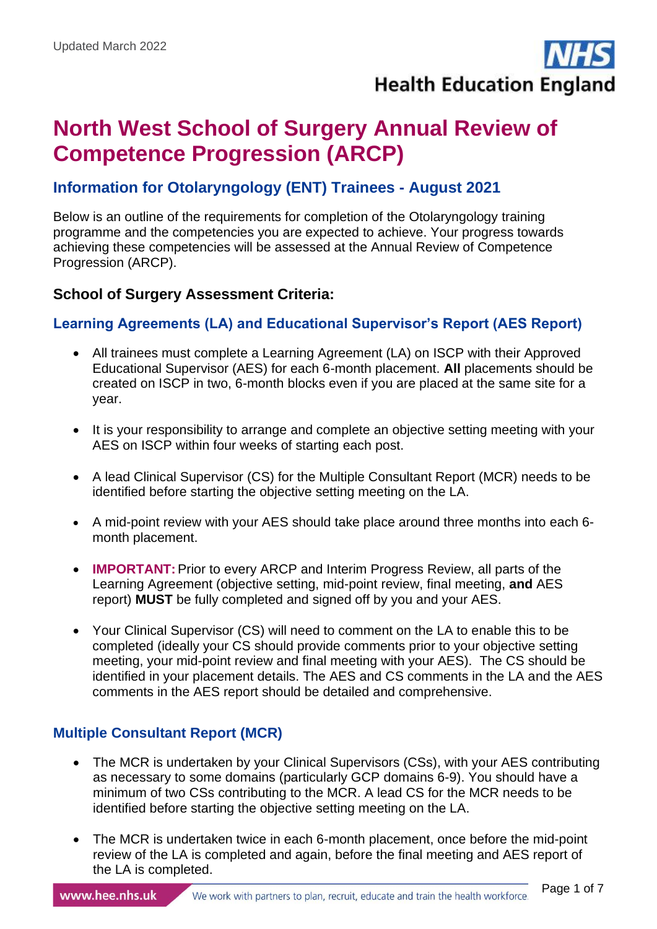**Health Education England** 

# **North West School of Surgery Annual Review of Competence Progression (ARCP)**

# **Information for Otolaryngology (ENT) Trainees - August 2021**

Below is an outline of the requirements for completion of the Otolaryngology training programme and the competencies you are expected to achieve. Your progress towards achieving these competencies will be assessed at the Annual Review of Competence Progression (ARCP).

# **School of Surgery Assessment Criteria:**

# **Learning Agreements (LA) and Educational Supervisor's Report (AES Report)**

- All trainees must complete a Learning Agreement (LA) on ISCP with their Approved Educational Supervisor (AES) for each 6-month placement. **All** placements should be created on ISCP in two, 6-month blocks even if you are placed at the same site for a year.
- It is your responsibility to arrange and complete an objective setting meeting with your AES on ISCP within four weeks of starting each post.
- A lead Clinical Supervisor (CS) for the Multiple Consultant Report (MCR) needs to be identified before starting the objective setting meeting on the LA.
- A mid-point review with your AES should take place around three months into each 6 month placement.
- **IMPORTANT:**Prior to every ARCP and Interim Progress Review, all parts of the Learning Agreement (objective setting, mid-point review, final meeting, **and** AES report) **MUST** be fully completed and signed off by you and your AES.
- Your Clinical Supervisor (CS) will need to comment on the LA to enable this to be completed (ideally your CS should provide comments prior to your objective setting meeting, your mid-point review and final meeting with your AES). The CS should be identified in your placement details. The AES and CS comments in the LA and the AES comments in the AES report should be detailed and comprehensive.

# **Multiple Consultant Report (MCR)**

- The MCR is undertaken by your Clinical Supervisors (CSs), with your AES contributing as necessary to some domains (particularly GCP domains 6-9). You should have a minimum of two CSs contributing to the MCR. A lead CS for the MCR needs to be identified before starting the objective setting meeting on the LA.
- The MCR is undertaken twice in each 6-month placement, once before the mid-point review of the LA is completed and again, before the final meeting and AES report of the LA is completed.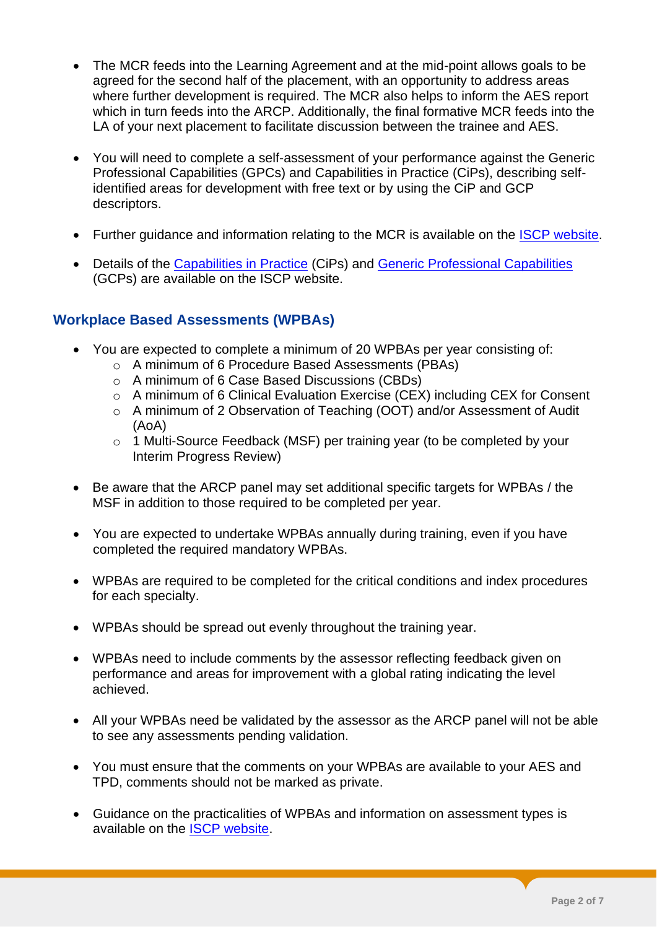- The MCR feeds into the Learning Agreement and at the mid-point allows goals to be agreed for the second half of the placement, with an opportunity to address areas where further development is required. The MCR also helps to inform the AES report which in turn feeds into the ARCP. Additionally, the final formative MCR feeds into the LA of your next placement to facilitate discussion between the trainee and AES.
- You will need to complete a self-assessment of your performance against the Generic Professional Capabilities (GPCs) and Capabilities in Practice (CiPs), describing selfidentified areas for development with free text or by using the CiP and GCP descriptors.
- Further guidance and information relating to the MCR is available on the ISCP [website.](https://www.iscp.ac.uk/iscp/surgical-curriculum-from-august-2021/assessment-and-feedback/#heading_7)
- Details of the [Capabilities in Practice](https://www.iscp.ac.uk/media/1139/all-cips-including-specialties-specific-2021.pdf) (CiPs) and [Generic Professional Capabilities](https://www.gmc-uk.org/-/media/documents/generic-professional-capabilities-framework--0817_pdf-70417127.pdf) (GCPs) are available on the ISCP website.

# **Workplace Based Assessments (WPBAs)**

- You are expected to complete a minimum of 20 WPBAs per year consisting of:
	- o A minimum of 6 Procedure Based Assessments (PBAs)
	- o A minimum of 6 Case Based Discussions (CBDs)
	- o A minimum of 6 Clinical Evaluation Exercise (CEX) including CEX for Consent
	- o A minimum of 2 Observation of Teaching (OOT) and/or Assessment of Audit (AoA)
	- o 1 Multi-Source Feedback (MSF) per training year (to be completed by your Interim Progress Review)
- Be aware that the ARCP panel may set additional specific targets for WPBAs / the MSF in addition to those required to be completed per year.
- You are expected to undertake WPBAs annually during training, even if you have completed the required mandatory WPBAs.
- WPBAs are required to be completed for the critical conditions and index procedures for each specialty.
- WPBAs should be spread out evenly throughout the training year.
- WPBAs need to include comments by the assessor reflecting feedback given on performance and areas for improvement with a global rating indicating the level achieved.
- All your WPBAs need be validated by the assessor as the ARCP panel will not be able to see any assessments pending validation.
- You must ensure that the comments on your WPBAs are available to your AES and TPD, comments should not be marked as private.
- Guidance on the practicalities of WPBAs and information on assessment types is available on the [ISCP website.](http://www.iscp.ac.uk/curriculum/surgical/assessment_practicalities.aspx)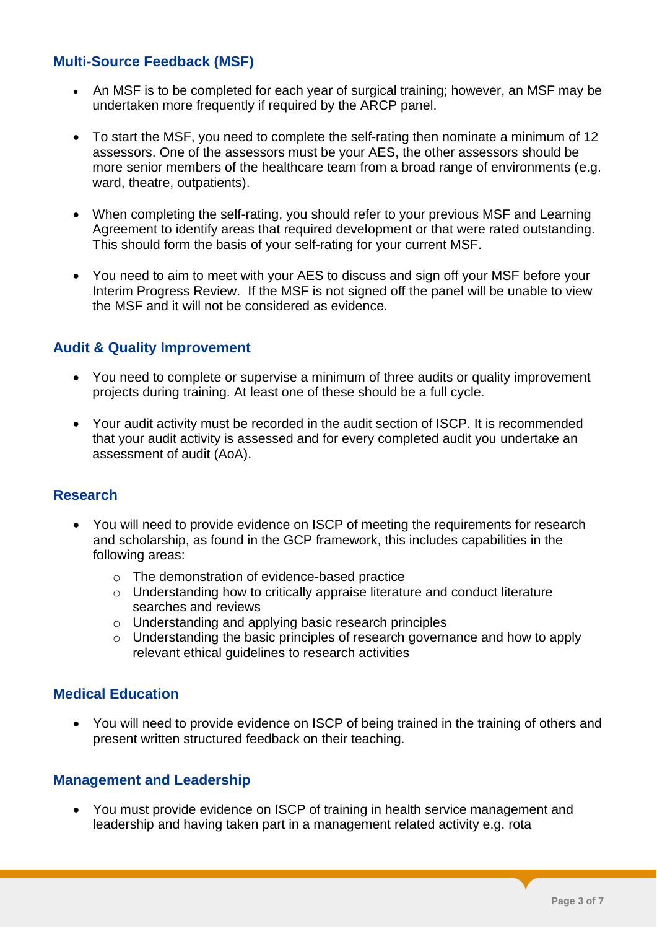# **Multi-Source Feedback (MSF)**

- An MSF is to be completed for each year of surgical training; however, an MSF may be undertaken more frequently if required by the ARCP panel.
- To start the MSF, you need to complete the self-rating then nominate a minimum of 12 assessors. One of the assessors must be your AES, the other assessors should be more senior members of the healthcare team from a broad range of environments (e.g. ward, theatre, outpatients).
- When completing the self-rating, you should refer to your previous MSF and Learning Agreement to identify areas that required development or that were rated outstanding. This should form the basis of your self-rating for your current MSF.
- You need to aim to meet with your AES to discuss and sign off your MSF before your Interim Progress Review. If the MSF is not signed off the panel will be unable to view the MSF and it will not be considered as evidence.

#### **Audit & Quality Improvement**

- You need to complete or supervise a minimum of three audits or quality improvement projects during training. At least one of these should be a full cycle.
- Your audit activity must be recorded in the audit section of ISCP. It is recommended that your audit activity is assessed and for every completed audit you undertake an assessment of audit (AoA).

#### **Research**

- You will need to provide evidence on ISCP of meeting the requirements for research and scholarship, as found in the GCP framework, this includes capabilities in the following areas:
	- o The demonstration of evidence-based practice
	- o Understanding how to critically appraise literature and conduct literature searches and reviews
	- o Understanding and applying basic research principles
	- o Understanding the basic principles of research governance and how to apply relevant ethical guidelines to research activities

#### **Medical Education**

• You will need to provide evidence on ISCP of being trained in the training of others and present written structured feedback on their teaching.

#### **Management and Leadership**

• You must provide evidence on ISCP of training in health service management and leadership and having taken part in a management related activity e.g. rota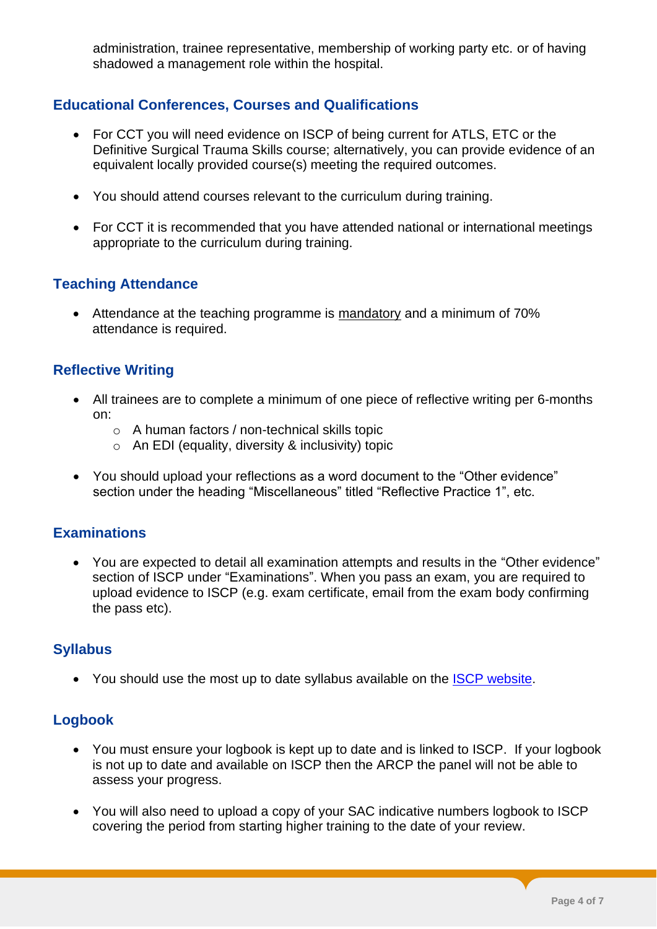administration, trainee representative, membership of working party etc. or of having shadowed a management role within the hospital.

# **Educational Conferences, Courses and Qualifications**

- For CCT you will need evidence on ISCP of being current for ATLS, ETC or the Definitive Surgical Trauma Skills course; alternatively, you can provide evidence of an equivalent locally provided course(s) meeting the required outcomes.
- You should attend courses relevant to the curriculum during training.
- For CCT it is recommended that you have attended national or international meetings appropriate to the curriculum during training.

# **Teaching Attendance**

• Attendance at the teaching programme is mandatory and a minimum of 70% attendance is required.

# **Reflective Writing**

- All trainees are to complete a minimum of one piece of reflective writing per 6-months on:
	- o A human factors / non-technical skills topic
	- $\circ$  An EDI (equality, diversity & inclusivity) topic
- You should upload your reflections as a word document to the "Other evidence" section under the heading "Miscellaneous" titled "Reflective Practice 1", etc.

#### **Examinations**

• You are expected to detail all examination attempts and results in the "Other evidence" section of ISCP under "Examinations". When you pass an exam, you are required to upload evidence to ISCP (e.g. exam certificate, email from the exam body confirming the pass etc).

#### **Syllabus**

• You should use the most up to date syllabus available on the [ISCP website.](https://www.iscp.ac.uk/iscp/curriculum/)

# **Logbook**

- You must ensure your logbook is kept up to date and is linked to ISCP.If your logbook is not up to date and available on ISCP then the ARCP the panel will not be able to assess your progress.
- You will also need to upload a copy of your SAC indicative numbers logbook to ISCP covering the period from starting higher training to the date of your review.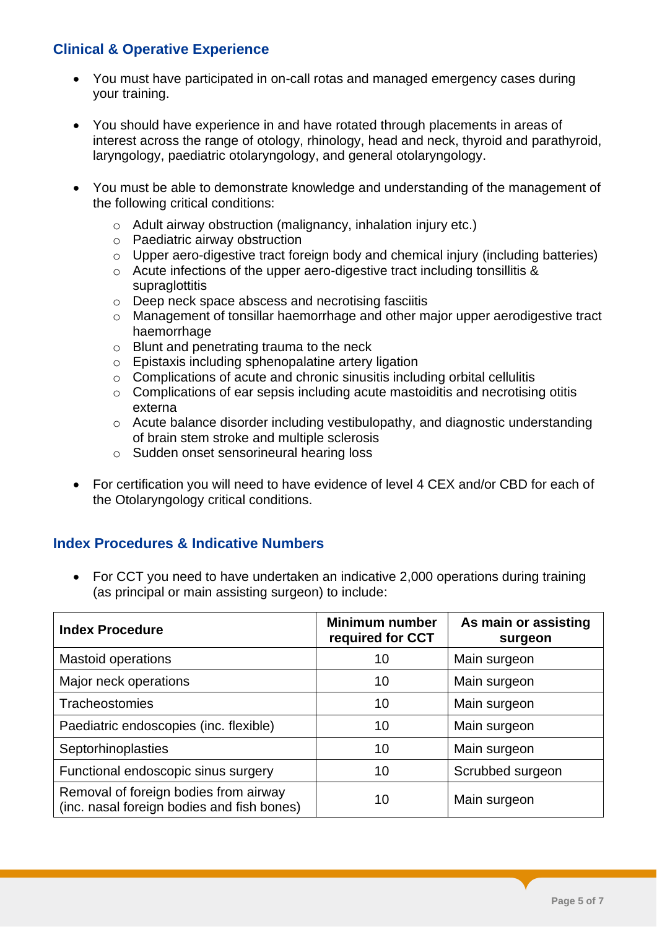# **Clinical & Operative Experience**

- You must have participated in on-call rotas and managed emergency cases during your training.
- You should have experience in and have rotated through placements in areas of interest across the range of otology, rhinology, head and neck, thyroid and parathyroid, laryngology, paediatric otolaryngology, and general otolaryngology.
- You must be able to demonstrate knowledge and understanding of the management of the following critical conditions:
	- o Adult airway obstruction (malignancy, inhalation injury etc.)
	- o Paediatric airway obstruction
	- o Upper aero-digestive tract foreign body and chemical injury (including batteries)
	- o Acute infections of the upper aero-digestive tract including tonsillitis & **supraglottitis**
	- o Deep neck space abscess and necrotising fasciitis
	- o Management of tonsillar haemorrhage and other major upper aerodigestive tract haemorrhage
	- o Blunt and penetrating trauma to the neck
	- o Epistaxis including sphenopalatine artery ligation
	- o Complications of acute and chronic sinusitis including orbital cellulitis
	- o Complications of ear sepsis including acute mastoiditis and necrotising otitis externa
	- o Acute balance disorder including vestibulopathy, and diagnostic understanding of brain stem stroke and multiple sclerosis
	- o Sudden onset sensorineural hearing loss
- For certification you will need to have evidence of level 4 CEX and/or CBD for each of the Otolaryngology critical conditions.

# **Index Procedures & Indicative Numbers**

• For CCT you need to have undertaken an indicative 2,000 operations during training (as principal or main assisting surgeon) to include:

| <b>Index Procedure</b>                                                              | <b>Minimum number</b><br>required for CCT | As main or assisting<br>surgeon |
|-------------------------------------------------------------------------------------|-------------------------------------------|---------------------------------|
| <b>Mastoid operations</b>                                                           | 10                                        | Main surgeon                    |
| Major neck operations                                                               | 10                                        | Main surgeon                    |
| Tracheostomies                                                                      | 10                                        | Main surgeon                    |
| Paediatric endoscopies (inc. flexible)                                              | 10                                        | Main surgeon                    |
| Septorhinoplasties                                                                  | 10                                        | Main surgeon                    |
| Functional endoscopic sinus surgery                                                 | 10                                        | Scrubbed surgeon                |
| Removal of foreign bodies from airway<br>(inc. nasal foreign bodies and fish bones) | 10                                        | Main surgeon                    |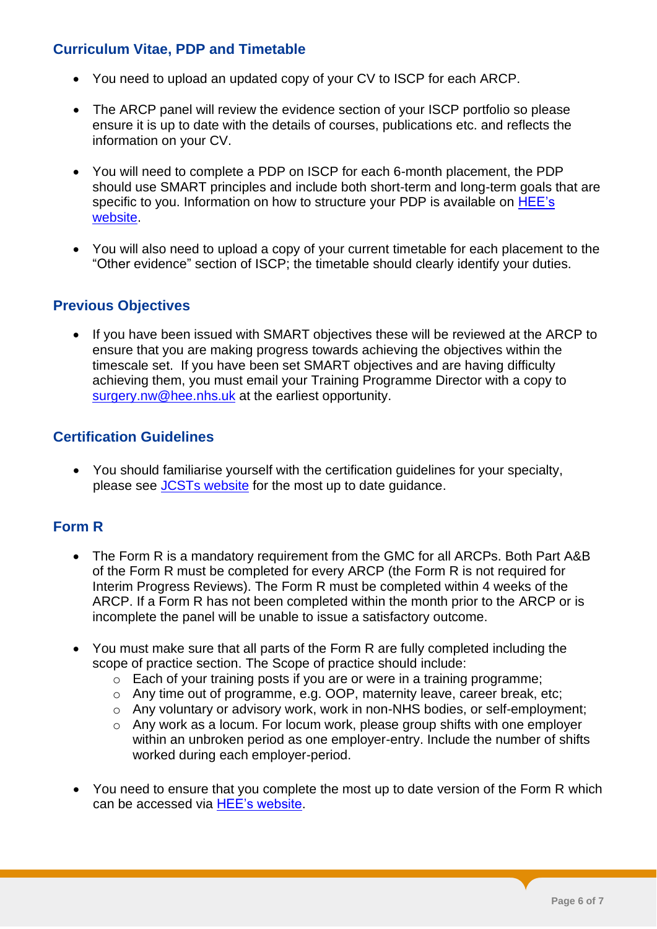# **Curriculum Vitae, PDP and Timetable**

- You need to upload an updated copy of your CV to ISCP for each ARCP.
- The ARCP panel will review the evidence section of your ISCP portfolio so please ensure it is up to date with the details of courses, publications etc. and reflects the information on your CV.
- You will need to complete a PDP on ISCP for each 6-month placement, the PDP should use SMART principles and include both short-term and long-term goals that are specific to you. Information on how to structure your PDP is available on HEE's [website.](https://www.nwpgmd.nhs.uk/sites/default/files/Professional%20development%20plan%20for%20surgeons.pdf)
- You will also need to upload a copy of your current timetable for each placement to the "Other evidence" section of ISCP; the timetable should clearly identify your duties.

# **Previous Objectives**

• If you have been issued with SMART objectives these will be reviewed at the ARCP to ensure that you are making progress towards achieving the objectives within the timescale set. If you have been set SMART objectives and are having difficulty achieving them, you must email your Training Programme Director with a copy to [surgery.nw@hee.nhs.uk](mailto:surgery.nw@hee.nhs.uk) at the earliest opportunity.

# **Certification Guidelines**

• You should familiarise yourself with the certification guidelines for your specialty, please see [JCSTs website](https://www.iscp.ac.uk/iscp/curriculum/otolaryngology-curriculum/5-programme-of-assessment/#heading_3) for the most up to date guidance.

# **Form R**

- The Form R is a mandatory requirement from the GMC for all ARCPs. Both Part A&B of the Form R must be completed for every ARCP (the Form R is not required for Interim Progress Reviews). The Form R must be completed within 4 weeks of the ARCP. If a Form R has not been completed within the month prior to the ARCP or is incomplete the panel will be unable to issue a satisfactory outcome.
- You must make sure that all parts of the Form R are fully completed including the scope of practice section. The Scope of practice should include:
	- o Each of your training posts if you are or were in a training programme;
	- o Any time out of programme, e.g. OOP, maternity leave, career break, etc;
	- o Any voluntary or advisory work, work in non-NHS bodies, or self-employment;
	- o Any work as a locum. For locum work, please group shifts with one employer within an unbroken period as one employer-entry. Include the number of shifts worked during each employer-period.
- You need to ensure that you complete the most up to date version of the Form R which can be accessed via [HEE's website.](https://nwpgmd.nhs.uk/form-r)